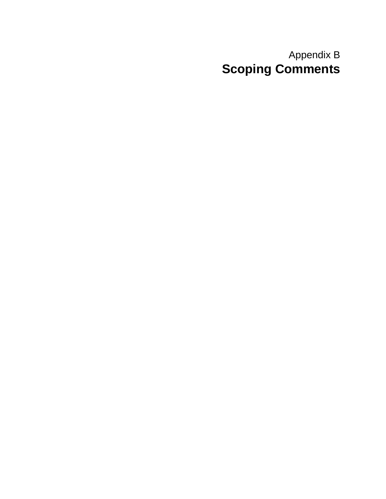# Appendix B **Scoping Comments**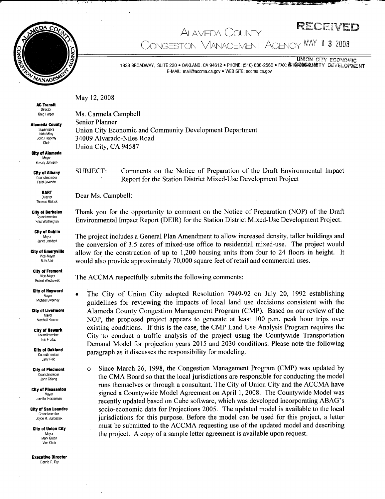

### RECEWED ALAMEDA COUNTY MAY 1 3 2008 DONGESTION MANAGEMENT AGENCY

**UNION CITY ECONOMIC** 

1333 BROADWAY, SUITE 220 · OAKLAND, CA 94612 · PHONE: (510) 836-2560 · FAX: (610) 986-2587 DEVELOPINENT E-MAIL: mail@accma.ca.gov . WEB SITE: accma.ca.gov

**AC Transit** Director **Greg Harper** 

**Alameda County** Sunervisors Nate Miley Scott Haggerty Chair

**City of Alameda** Mayor Beverly Johnson

**City of Albany** Councilmember Farid Javandel

**RART** Director Thomas Blalock

**City of Berkelev** Councilmember Kriss Worthington

**City of Dublin** Mayor Janet Lockhart

**City of Emeryville** Vice-Mayo **Ruth Atkin** 

**City of Fremont** Vice-Mavor Robert Wieckowsk

**City of Hayward** Mayor<br>Michael Sweeney

**City of Livermore** Mayor Marshall Kamena

**City of Newark** Councilmember **Luis Freitas** 

**City of Oakland** .<br>Councilmember Larry Reid

**City of Piedmont** .<br>Councilmember John Chiang

**City of Pleasanton** Mayor lennifer Hosterman

**City of San Leandro** Councilmember Joyce R. Starosciak

**City of Union City** Mayor Mark Green Vice Chair

**Executive Director** Dennis R. Fay

Ms. Carmela Campbell Senior Planner Union City Economic and Community Development Department 34009 Alvarado-Niles Road Union City, CA 94587

Comments on the Notice of Preparation of the Draft Environmental Impact **SUBJECT:** Report for the Station District Mixed-Use Development Project

Dear Ms. Campbell:

May 12, 2008

Thank you for the opportunity to comment on the Notice of Preparation (NOP) of the Draft Environmental Impact Report (DEIR) for the Station District Mixed-Use Development Project.

The project includes a General Plan Amendment to allow increased density, taller buildings and the conversion of 3.5 acres of mixed-use office to residential mixed-use. The project would allow for the construction of up to 1,200 housing units from four to 24 floors in height. It would also provide approximately 70,000 square feet of retail and commercial uses.

The ACCMA respectfully submits the following comments:

- The City of Union City adopted Resolution 7949-92 on July 20, 1992 establishing guidelines for reviewing the impacts of local land use decisions consistent with the Alameda County Congestion Management Program (CMP). Based on our review of the NOP, the proposed project appears to generate at least 100 p.m. peak hour trips over existing conditions. If this is the case, the CMP Land Use Analysis Program requires the City to conduct a traffic analysis of the project using the Countywide Transportation Demand Model for projection years 2015 and 2030 conditions. Please note the following paragraph as it discusses the responsibility for modeling.
	- Since March 26, 1998, the Congestion Management Program (CMP) was updated by  $\circ$ the CMA Board so that the local jurisdictions are responsible for conducting the model runs themselves or through a consultant. The City of Union City and the ACCMA have signed a Countywide Model Agreement on April 1, 2008. The Countywide Model was recently updated based on Cube software, which was developed incorporating ABAG's socio-economic data for Projections 2005. The updated model is available to the local jurisdictions for this purpose. Before the model can be used for this project, a letter must be submitted to the ACCMA requesting use of the updated model and describing the project. A copy of a sample letter agreement is available upon request.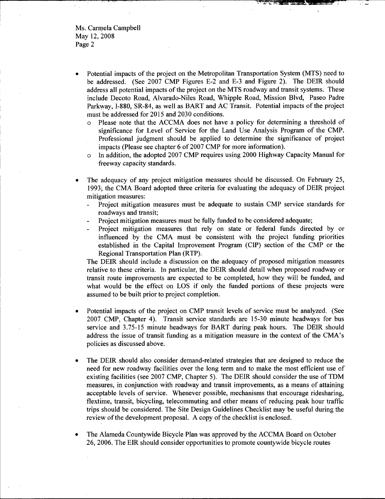Ms. Carmela Campbell May 12, 2008 Page 2

Potential impacts of the project on the Metropolitan Transportation System (MTS) need to be addressed. (See 2007 CMP Figures E-2 and E-3 and Figure 2). The DEIR should address all potential impacts of the project on the MTS roadway and transit systems. These include Decoto Road, Alvarado-Niles Road, Whipple Road, Mission Blvd, Paseo Padre Parkway, I-880, SR-84, as well as BART and AC Transit. Potential impacts of the project must be addressed for 2015 and 2030 conditions.

Please note that the ACCMA does not have a policy for determining a threshold of  $\circ$ significance for Level of Service for the Land Use Analysis Program of the CMP. Professional judgment should be applied to determine the significance of project impacts (Please see chapter 6 of 2007 CMP for more information).

- In addition, the adopted 2007 CMP requires using 2000 Highway Capacity Manual for  $\circ$ freeway capacity standards.
- The adequacy of any project mitigation measures should be discussed. On February 25, 1993; the CMA Board adopted three criteria for evaluating the adequacy of DEIR project mitigation measures:
	- Project mitigation measures must be adequate to sustain CMP service standards for roadways and transit;
	- Project mitigation measures must be fully funded to be considered adequate;
	- Project mitigation measures that rely on state or federal funds directed by or influenced by the CMA must be consistent with the project funding priorities established in the Capital Improvement Program (CIP) section of the CMP or the Regional Transportation Plan (RTP).

The DEIR should include a discussion on the adequacy of proposed mitigation measures relative to these criteria. In particular, the DEIR should detail when proposed roadway or transit route improvements are expected to be completed, how they will be funded, and what would be the effect on LOS if only the funded portions of these projects were assumed to be built prior to project completion.

- Potential impacts of the project on CMP transit levels of service must be analyzed. (See 2007 CMP, Chapter 4). Transit service standards are 15-30 minute headways for bus service and 3.75-15 minute headways for BART during peak hours. The DEIR should address the issue of transit funding as a mitigation measure in the context of the CMA's policies as discussed above.
- The DEIR should also consider demand-related strategies that are designed to reduce the need for new roadway facilities over the long term and to make the most efficient use of existing facilities (see 2007 CMP, Chapter 5). The DEIR should consider the use of TDM measures, in conjunction with roadway and transit improvements, as a means of attaining acceptable levels of service. Whenever possible, mechanisms that encourage ridesharing, flextime, transit, bicycling, telecommuting and other means of reducing peak hour traffic trips should be considered. The Site Design Guidelines Checklist may be useful during the review of the development proposal. A copy of the checklist is enclosed.
- The Alameda Countywide Bicycle Plan was approved by the ACCMA Board on October 26, 2006. The EIR should consider opportunities to promote countywide bicycle routes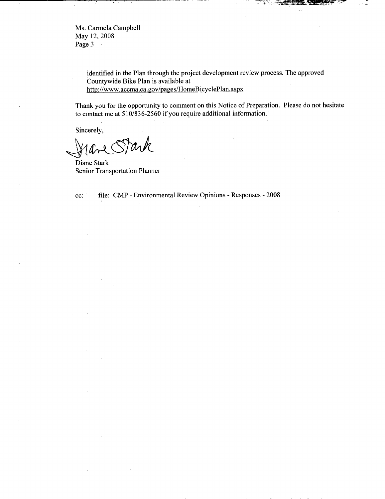Ms. Carmela Campbell May 12, 2008 Page 3

> identified in the Plan through the project development review process. The approved Countywide Bike Plan is available at http://www.accma.ca.gov/pages/HomeBicyclePlan.aspx

Thank you for the opportunity to comment on this Notice of Preparation. Please do not hesitate to contact me at 510/836-2560 if you require additional information.

Sincerely,

ark

Diane Stark **Senior Transportation Planner** 

file: CMP - Environmental Review Opinions - Responses - 2008 cc: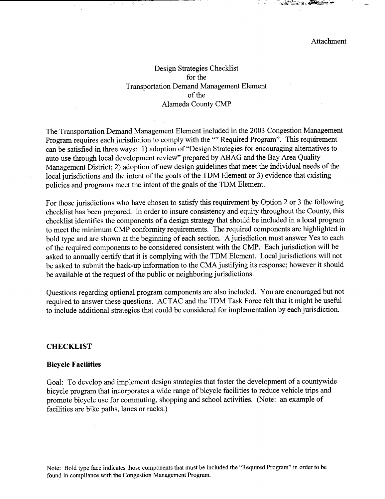. ຂະໜີ

# Design Strategies Checklist for the **Transportation Demand Management Element** of the Alameda County CMP

The Transportation Demand Management Element included in the 2003 Congestion Management Program requires each jurisdiction to comply with the "" Required Program". This requirement can be satisfied in three ways: 1) adoption of "Design Strategies for encouraging alternatives to auto use through local development review" prepared by ABAG and the Bay Area Quality Management District; 2) adoption of new design guidelines that meet the individual needs of the local jurisdictions and the intent of the goals of the TDM Element or 3) evidence that existing policies and programs meet the intent of the goals of the TDM Element.

For those jurisdictions who have chosen to satisfy this requirement by Option 2 or 3 the following checklist has been prepared. In order to insure consistency and equity throughout the County, this checklist identifies the components of a design strategy that should be included in a local program to meet the minimum CMP conformity requirements. The required components are highlighted in bold type and are shown at the beginning of each section. A jurisdiction must answer Yes to each of the required components to be considered consistent with the CMP. Each jurisdiction will be asked to annually certify that it is complying with the TDM Element. Local jurisdictions will not be asked to submit the back-up information to the CMA justifying its response; however it should be available at the request of the public or neighboring jurisdictions.

Ouestions regarding optional program components are also included. You are encouraged but not required to answer these questions. ACTAC and the TDM Task Force felt that it might be useful to include additional strategies that could be considered for implementation by each iurisdiction.

### **CHECKLIST**

## **Bicycle Facilities**

Goal: To develop and implement design strategies that foster the development of a countywide bicycle program that incorporates a wide range of bicycle facilities to reduce vehicle trips and promote bicycle use for commuting, shopping and school activities. (Note: an example of facilities are bike paths, lanes or racks.)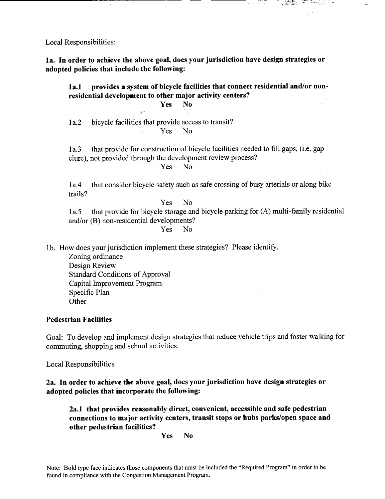Local Responsibilities:

1a. In order to achieve the above goal, does your jurisdiction have design strategies or adopted policies that include the following:

provides a system of bicycle facilities that connect residential and/or non- $1a.1$ residential development to other major activity centers? **Yes** 

فأداد المستشينين

 $No$ 

bicycle facilities that provide access to transit?  $1a.2$ Yes  $No$ 

that provide for construction of bicycle facilities needed to fill gaps, (i.e. gap  $1a.3$ clure), not provided through the development review process?

> Yes  $N<sub>0</sub>$

that consider bicycle safety such as safe crossing of busy arterials or along bike  $1a.4$ trails?

> **Yes**  $No$

that provide for bicycle storage and bicycle parking for (A) multi-family residential  $1a.5$ and/or (B) non-residential developments?

> Yes  $No$

1b. How does your jurisdiction implement these strategies? Please identify.

Zoning ordinance Design Review **Standard Conditions of Approval** Capital Improvement Program Specific Plan Other

### **Pedestrian Facilities**

Goal: To develop and implement design strategies that reduce vehicle trips and foster walking for commuting, shopping and school activities.

**Local Responsibilities** 

2a. In order to achieve the above goal, does your jurisdiction have design strategies or adopted policies that incorporate the following:

2a.1 that provides reasonably direct, convenient, accessible and safe pedestrian connections to major activity centers, transit stops or hubs parks/open space and other pedestrian facilities?

> **Yes**  $No$

Note: Bold type face indicates those components that must be included the "Required Program" in order to be found in compliance with the Congestion Management Program.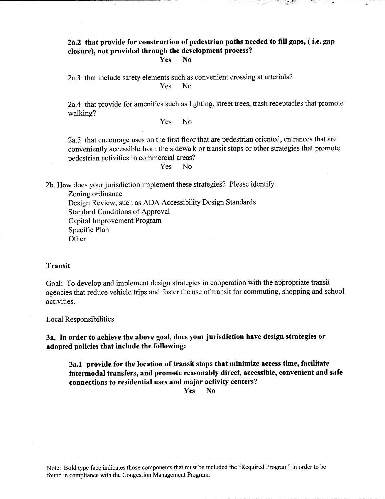### 2a.2 that provide for construction of pedestrian paths needed to fill gaps, (i.e. gap closure), not provided through the development process? **Yes** N<sub>0</sub>

2a.3 that include safety elements such as convenient crossing at arterials?  $No$ Yes

2a.4 that provide for amenities such as lighting, street trees, trash receptacles that promote walking?

> $No$ **Yes**

2a.5 that encourage uses on the first floor that are pedestrian oriented, entrances that are conveniently accessible from the sidewalk or transit stops or other strategies that promote pedestrian activities in commercial areas?

> **Yes**  $No$

2b. How does your jurisdiction implement these strategies? Please identify.

Zoning ordinance

Design Review, such as ADA Accessibility Design Standards **Standard Conditions of Approval Capital Improvement Program** Specific Plan Other

# **Transit**

Goal: To develop and implement design strategies in cooperation with the appropriate transit agencies that reduce vehicle trips and foster the use of transit for commuting, shopping and school activities.

**Local Responsibilities** 

3a. In order to achieve the above goal, does your jurisdiction have design strategies or adopted policies that include the following:

3a.1 provide for the location of transit stops that minimize access time, facilitate intermodal transfers, and promote reasonably direct, accessible, convenient and safe connections to residential uses and major activity centers?

> **Yes**  $\bf N$ <sup>O</sup>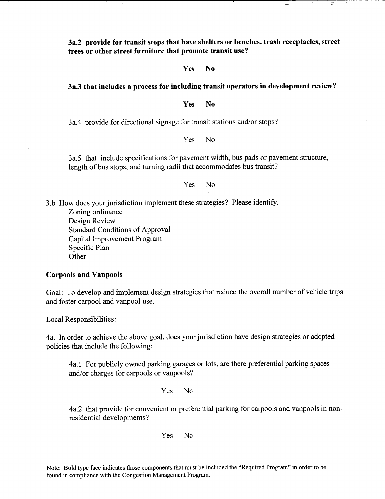3a.2 provide for transit stops that have shelters or benches, trash receptacles, street trees or other street furniture that promote transit use?

#### **Yes** N<sub>0</sub>

# 3a.3 that includes a process for including transit operators in development review?

#### Yes  $No$

3a.4 provide for directional signage for transit stations and/or stops?

#### Yes  $\overline{N}$

3a.5 that include specifications for pavement width, bus pads or pavement structure, length of bus stops, and turning radii that accommodates bus transit?

#### **Yes**  $No$

3.b How does your jurisdiction implement these strategies? Please identify.

Zoning ordinance Design Review **Standard Conditions of Approval Capital Improvement Program** Specific Plan Other

### **Carpools and Vanpools**

Goal: To develop and implement design strategies that reduce the overall number of vehicle trips and foster carpool and vanpool use.

Local Responsibilities:

4a. In order to achieve the above goal, does your jurisdiction have design strategies or adopted policies that include the following:

4a.1 For publicly owned parking garages or lots, are there preferential parking spaces and/or charges for carpools or vanpools?

#### **Yes**  $No$

4a.2 that provide for convenient or preferential parking for carpools and vanpools in nonresidential developments?

#### Yes N<sub>0</sub>

Note: Bold type face indicates those components that must be included the "Required Program" in order to be found in compliance with the Congestion Management Program.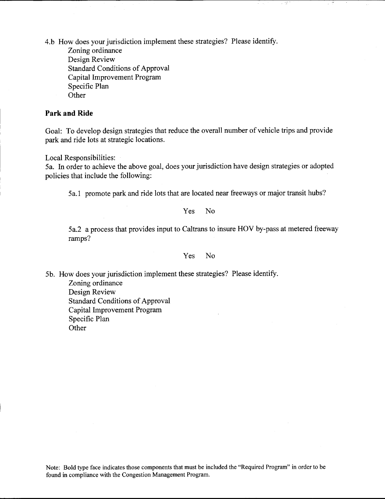4.b How does your jurisdiction implement these strategies? Please identify.

Zoning ordinance Design Review **Standard Conditions of Approval** Capital Improvement Program Specific Plan Other

# **Park and Ride**

Goal: To develop design strategies that reduce the overall number of vehicle trips and provide park and ride lots at strategic locations.

Local Responsibilities:

5a. In order to achieve the above goal, does your jurisdiction have design strategies or adopted policies that include the following:

5a.1 promote park and ride lots that are located near freeways or major transit hubs?

#### Yes N<sub>o</sub>

5a.2 a process that provides input to Caltrans to insure HOV by-pass at metered freeway ramps?

#### $No$ Yes

5b. How does your jurisdiction implement these strategies? Please identify.

Zoning ordinance Design Review **Standard Conditions of Approval** Capital Improvement Program Specific Plan Other

Note: Bold type face indicates those components that must be included the "Required Program" in order to be found in compliance with the Congestion Management Program.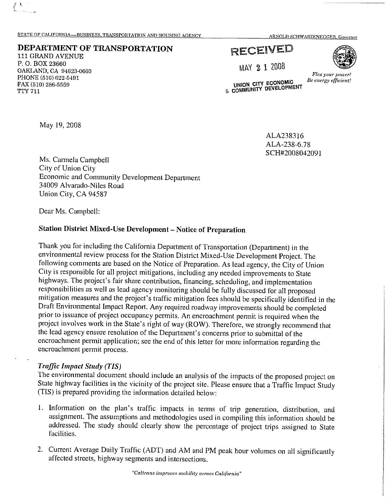### STATE OF CALIFORNIA-BUSINESS, TRANSPORTATION AND HOUSING AGENCY

**ARNOLD SCHWARZENEGGER, Governor** 

# DEPARTMENT OF TRANSPORTATION

111 GRAND AVENUE P.O. BOX 23660 OAKLAND, CA 94623-0660 PHONE (510) 622-5491 FAX (510) 286-5559 **TTY 711** 

May 19, 2008

 $\frac{3}{2}$  .

# RECEIVED

MAY 2 1 2008



UNION CITY ECONOMIC<br>& COMMUNITY DEVELOPMENT

Flex your power. Be energy efficient!

ALA238316 ALA-238-6.78 SCH#2008042091

Ms. Carmela Campbell City of Union City Economic and Community Development Department 34009 Alvarado-Niles Road Union City, CA 94587

Dear Ms. Campbell:

# Station District Mixed-Use Development - Notice of Preparation

Thank you for including the California Department of Transportation (Department) in the environmental review process for the Station District Mixed-Use Development Project. The following comments are based on the Notice of Preparation. As lead agency, the City of Union City is responsible for all project mitigations, including any needed improvements to State highways. The project's fair share contribution, financing, scheduling, and implementation responsibilities as well as lead agency monitoring should be fully discussed for all proposed mitigation measures and the project's traffic mitigation fees should be specifically identified in the Draft Environmental Impact Report. Any required roadway improvements should be completed prior to issuance of project occupancy permits. An encroachment permit is required when the project involves work in the State's right of way (ROW). Therefore, we strongly recommend that the lead agency ensure resolution of the Department's concerns prior to submittal of the encroachment permit application; see the end of this letter for more information regarding the encroachment permit process.

# **Traffic Impact Study (TIS)**

The environmental document should include an analysis of the impacts of the proposed project on State highway facilities in the vicinity of the project site. Please ensure that a Traffic Impact Study (TIS) is prepared providing the information detailed below:

- 1. Information on the plan's traffic impacts in terms of trip generation, distribution, and assignment. The assumptions and methodologies used in compiling this information should be addressed. The study should clearly show the percentage of project trips assigned to State facilities.
- 2. Current Average Daily Traffic (ADT) and AM and PM peak hour volumes on all significantly affected streets, highway segments and intersections.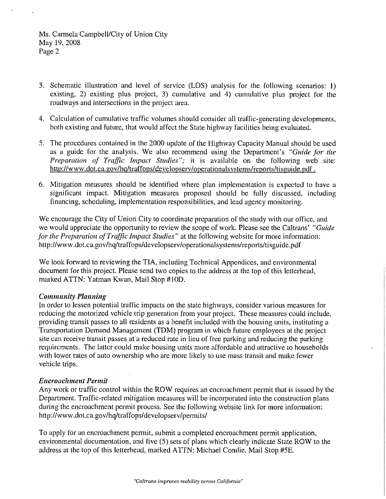Ms. Carmela Campbell/City of Union City May 19, 2008 Page 2

- 3. Schematic illustration and level of service (LOS) analysis for the following scenarios: 1) existing, 2) existing plus project, 3) cumulative and 4) cumulative plus project for the roadways and intersections in the project area.
- 4. Calculation of cumulative traffic volumes should consider all traffic-generating developments, both existing and future, that would affect the State highway facilities being evaluated.
- 5. The procedures contained in the 2000 update of the Highway Capacity Manual should be used as a guide for the analysis. We also recommend using the Department's "Guide for the Preparation of Traffic Impact Studies"; it is available on the following web site: http://www.dot.ca.gov/hq/traffops/developserv/operationalsystems/reports/tisguide.pdf.
- 6. Mitigation measures should be identified where plan implementation is expected to have a significant impact. Mitigation measures proposed should be fully discussed, including financing, scheduling, implementation responsibilities, and lead agency monitoring.

We encourage the City of Union City to coordinate preparation of the study with our office, and we would appreciate the opportunity to review the scope of work. Please see the Caltrans' "Guide" for the Preparation of Traffic Impact Studies" at the following website for more information: http://www.dot.ca.gov/hq/traffops/developserv/operationalsystems/reports/tisguide.pdf

We look forward to reviewing the TIA, including Technical Appendices, and environmental document for this project. Please send two copies to the address at the top of this letterhead. marked ATTN: Yatman Kwan, Mail Stop #10D.

# **Community Planning**

In order to lessen potential traffic impacts on the state highways, consider various measures for reducing the motorized vehicle trip generation from your project. These measures could include, providing transit passes to all residents as a benefit included with the housing units, instituting a Transportation Demand Management (TDM) program in which future employees at the project site can receive transit passes at a reduced rate in lieu of free parking and reducing the parking requirements. The latter could make housing units more affordable and attractive to households with lower rates of auto ownership who are more likely to use mass transit and make fewer vehicle trips.

### **Encroachment Permit**

Any work or traffic control within the ROW requires an encroachment permit that is issued by the Department. Traffic-related mitigation measures will be incorporated into the construction plans during the encroachment permit process. See the following website link for more information: http://www.dot.ca.gov/hq/traffops/developserv/permits/

To apply for an encroachment permit, submit a completed encroachment permit application, environmental documentation, and five (5) sets of plans which clearly indicate State ROW to the address at the top of this letterhead, marked ATTN: Michael Condie, Mail Stop #5E.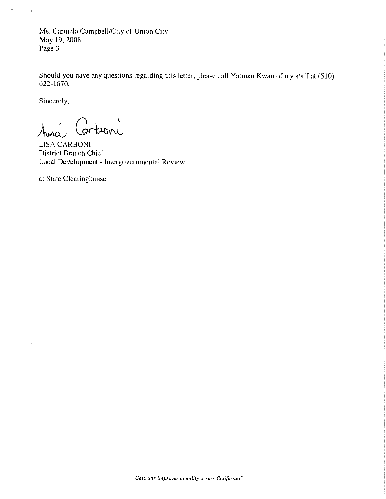Ms. Carmela Campbell/City of Union City May 19, 2008 Page 3

Should you have any questions regarding this letter, please call Yatman Kwan of my staff at (510) 622-1670.

Sincerely,

 $\mathbf{v}^{\prime}$ 

 $\langle\cdot\rangle_{\mathbb{R}^2}$ 

boni

**LISA CARBONI** District Branch Chief Local Development - Intergovernmental Review

c: State Clearinghouse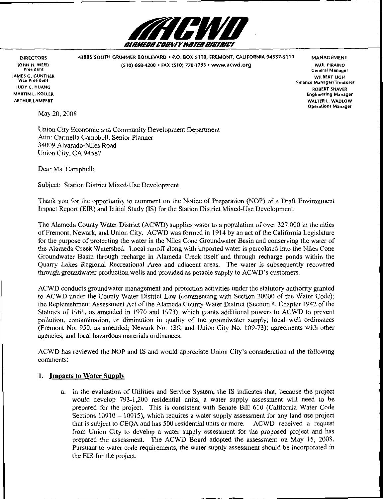

DIRECTORS 43885 SOUTH GRIMMER BOULEVARD • P.O. BOX 5110, FREMONT, CALIFORNIA 94537-5110 MANAGEMENT |OHN H. WEED (510) 668-4200 • FAX (510) 770-1793 • WWW.3Cwd.org PAUL PIRAINO

General Manager JAMES G. GUNTHER COMPUTER THE CONTROL CONTROL CONTROL CONTROL CONTROL CONTROL CONTROL CONTROL CONTROL CONTROL CONTROL CONTROL CONTROL CONTROL CONTROL CONTROL CONTROL CONTROL CONTROL CONTROL CONTROL CONTROL CONTROL CONTROL Vice Pres.dent Fjnance Manager/Treasurer JUDY C. HUANG ROBERT SHAVER MARTIN L, KOLLER Engineering Manager ARTHUR LAMPERT WALTER L. WADLOW Operations Manager

May 20, 2008

Union City Economic and Community Development Department Attn: Carmella Campbell, Senior Planner 34009 Alvarado-Niles Road Union City, CA 94587

Dear Ms. Campbell:

Subject: Station District Mixed-Use Development

Thank you for the opportunity to comment on the Notice of Preparation (NOP) of a Draft Environment Impact Report (EIR) and Initial Study (IS) for the Station District Mixed-Use Development.

The Alameda County Water District (ACWD) supplies water to a population of over 327,000 in the cities of Fremont, Newark, and Union City. ACWD was formed in 1914 by an act of the California Legislature for the purpose of protecting the water in the Niles Cone Groundwater Basin and conserving the water of the Alameda Creek Watershed. Local runoff along with imported water is percolated into the Niles Cone Groundwater Basin through recharge in Alameda Creek itself and through recharge ponds within the Quarry Lakes Regional Recreational Area and adjacent areas. The water is subsequently recovered through groundwater production wells and provided as potable supply to ACWD's customers.

ACWD conducts groundwater management and protection activities under the statutory authority granted to ACWD under the County Water District Law (commencing with Section 30000 of the Water Code); the Replenishment Assessment Act of the Alameda County Water District (Section 4, Chapter 1942 of the Statutes of 1961, as amended in 1970 and 1973), which grants additional powers to ACWD to prevent pollution, contamination, or diminution in quality of the groundwater supply; local well ordinances (Fremont No. 950, as amended; Newark No. 136; and Union City No. 109-73); agreements with other agencies; and local hazardous materials ordinances.

ACWD has reviewed the NOP and IS and would appreciate Union City's consideration of the following comments:

### 1. Impacts to Water Supply

a. In the evaluation of Utilities and Service System, the IS indicates that, because the project would develop 793-1,200 residential units, a water supply assessment will need to be prepared for the project. This is consistent with Senate Bill 610 (California Water Code Sections 10910 - 10915), which requires a water supply assessment for any land use project that is subject to CEQA and has 500 residential units or more. ACWD received a request from Union City to develop a water supply assessment for the proposed project and has prepared the assessment. The ACWD Board adopted the assessment on May 15, 2008. Pursuant to water code requirements, the water supply assessment should be incorporated in the EIR for the project.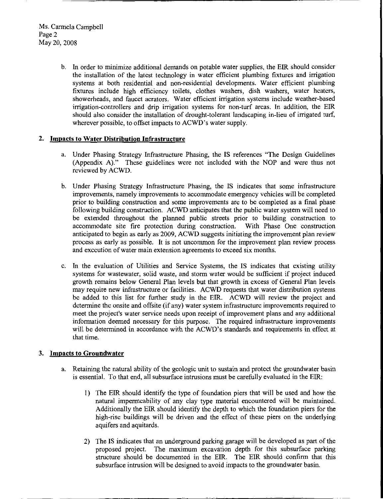b. In order to minimize additional demands on potable water supplies, the EIR should consider the installation of the latest technology in water efficient plumbing fixtures and irrigation systems at both residential and non-residential developments. Water efficient plumbing fixtures include high efficiency toilets, clothes washers, dish washers, water heaters, showerheads, and faucet aerators. Water efficient irrigation systems include weather-based irrigation-controllers and drip irrigation systems for non-turf areas. In addition, the EIR should also consider the installation of drought-tolerant landscaping in-lieu of irrigated turf, wherever possible, to offset impacts to ACWD's water supply.

# 2. Impacts to Water Distribution Infrastructure

- a. Under Phasing Strategy Infrastructure Phasing, the IS references "The Design Guidelines (Appendix A).'<sup>1</sup> These guidelines were not included with the NOP and were thus not reviewed by ACWD.
- b. Under Phasing Strategy Infrastructure Phasing, the IS indicates that some infrastructure improvements, namely improvements to accommodate emergency vehicles will be completed prior to building construction and some improvements are to be completed as a final phase following building construction. ACWD anticipates that the public water system will need to be extended throughout the planned public streets prior to building construction to accommodate site fire protection during construction. With Phase One construction anticipated to begin as early as 2009, ACWD suggests initiating the improvement plan review process as early as possible. It is not uncommon for the improvement plan review process and execution of water main extension agreements to exceed six months.
- c. In the evaluation of Utilities and Service Systems, the IS indicates that existing utility systems for wastewater, solid waste, and storm water would be sufficient if project induced growth remains below General Plan levels but that growth in excess of General Plan levels may require new infrastructure or facilities. ACWD requests that water distribution systems be added to this list for further study in the EIR. ACWD will review the project and determine the onsite and offsite (if any) water system infrastructure improvements required to meet the project's water service needs upon receipt of improvement plans and any additional information deemed necessary for this purpose. The required infrastructure improvements will be determined in accordance with the ACWD's standards and requirements in effect at that time.

# 3. Impacts to Groundwater

- a. Retaining the natural ability of the geologic unit to sustain and protect the groundwater basin is essential. To that end, all subsurface intrusions must be carefully evaluated in the EIR:
	- 1) The EIR should identify the type of foundation piers that will be used and how the natural impermeability of any clay type material encountered will be maintained. Additionally the EIR should identify the depth to which the foundation piers for the high-rise buildings will be driven and the effect of these piers on the underlying aquifers and aquitards.
	- 2) The IS indicates that an underground parking garage will be developed as part of the proposed project. The maximum excavation depth for this subsurface parking structure should be documented in the EIR. The EIR should confirm that this subsurface intrusion will be designed to avoid impacts to the groundwater basin.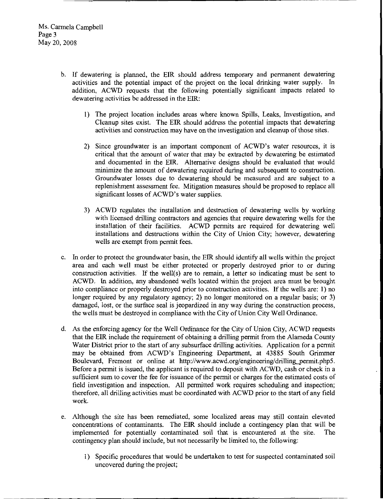- b. If dewatering is planned, the EIR should address temporary and permanent dewatering activities and the potential impact of the project on the local drinking water supply. In addition, ACWD requests that the following potentially significant impacts related to dewatering activities be addressed in the EIR:
	- 1) The project location includes areas where known Spills, Leaks, Investigation, and Cleanup sites exist. The EIR should address the potential impacts that dewatering activities and construction may have on the investigation and cleanup of those sites.
	- 2) Since groundwater is an important component of ACWD's water resources, it is critical that the amount of water that may be extracted by dewatering be estimated and documented in the EIR. Alternative designs should be evaluated that would minimize the amount of dewatering required during and subsequent to construction. Groundwater losses due to dewatering should be measured and are subject to a replenishment assessment fee. Mitigation measures should be proposed to replace all significant losses of ACWD's water supplies.
	- 3) ACWD regulates the installation and destruction of dewatering wells by working with licensed drilling contractors and agencies that require dewatering wells for the installation of their facilities. ACWD permits are required for dewatering well installations and destructions within the City of Union City; however, dewatering wells are exempt from permit fees.
- c. In order to protect the groundwater basin, the EIR should identify all wells within the project area and each well must be either protected or properly destroyed prior to or during construction activities. If the well(s) are to remain, a letter so indicating must be sent to ACWD, In addition, any abandoned wells located within the project area must be brought into compliance or properly destroyed prior to construction activities. If the wells are: 1) no longer required by any regulatory agency; 2) no longer monitored on a regular basis; or 3) damaged, lost, or the surface seal is jeopardized in any way during the construction process, the wells must be destroyed in compliance with the City of Union City Well Ordinance.
- d. As the enforcing agency for the Well Ordinance for the City of Union City, ACWD requests that the EIR include the requirement of obtaining a drilling permit from the Alameda County Water District prior to the start of any subsurface drilling activities. Application for a permit may be obtained from ACWD's Engineering Department, at 43885 South Grimmer Boulevard, Fremont or online at http://www.acwd.org/engineering/drilling permit.php5. Before a permit is issued, the applicant is required to deposit with ACWD, cash or check in a sufficient sum to cover the fee for issuance of the permit or charges for the estimated costs of field investigation and inspection. All permitted work requires scheduling and inspection; therefore, all drilling activities must be coordinated with ACWD prior to the start of any field work.
- e. Although the site has been remediated, some localized areas may still contain elevated concentrations of contaminants. The EIR should include a contingency plan that will be implemented for potentially contaminated soil that is encountered at the site. The contingency plan should include, but not necessarily be limited to, the following:
	- 1) Specific procedures that would be undertaken to test for suspected contaminated soil uncovered during the project;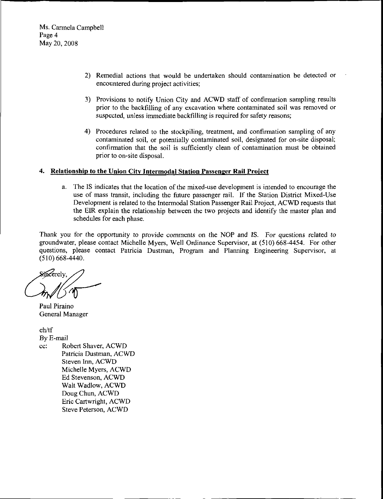- 2) Remedial actions that would be undertaken should contamination be detected or encountered during project activities;
- 3) Provisions to notify Union City and ACWD staff of confirmation sampling results prior to the backfilling of any excavation where contaminated soil was removed or suspected, unless immediate backfilling is required for safety reasons;
- 4) Procedures related to the stockpiling, treatment, and confirmation sampling of any contaminated soil, or potentially contaminated soil, designated for on-site disposal; confirmation that the soil is sufficiently clean of contamination must be obtained prior to on-site disposal.

# 4. Relationship to the Union City Intermodal Station Passenger Rail Project

a. The IS indicates that the location of the mixed-use development is intended to encourage the use of mass transit, including the future passenger rail. If the Station District Mixed-Use Development is related to the Intermodal Station Passenger Rail Project, ACWD requests that the EIR explain the relationship between the two projects and identify the master plan and schedules for each phase.

Thank you for the opportunity to provide comments on the NOP and IS. For questions related to groundwater, please contact Michelle Myers, Well Ordinance Supervisor, at (510) 668-4454. For other questions, please contact Patricia Dustman, Program and Planning Engineering Supervisor, at (510)668-4440.

Paul Piraino General Manager

eh/tf By E-mail cc: Robert Shaver, ACWD Patricia Dustman, ACWD Steven Inn, ACWD Michelle Myers, ACWD Ed Stevenson, ACWD Walt Wadlow, ACWD Doug Chun, ACWD Eric Cartwright, ACWD Steve Peterson, ACWD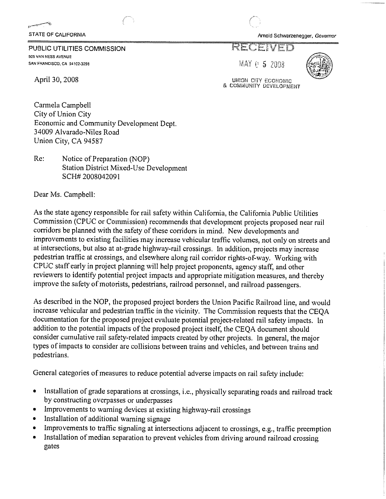**STATE OF CALIFORNIA** 

PUBLIC UTILITIES COMMISSION 505 VAN NESS AVENUE SAN FRANCISCO, CA 94102-3298

April 30, 2008

Arnold Schwarzenegger, Governor

# RECEIVED

 $MAX + 52008$ 



UNION CITY ECONOMIC & COMMUNITY DEVELOPMENT

Carmela Campbell City of Union City Economic and Community Development Dept. 34009 Alvarado-Niles Road Union City, CA 94587

Re: Notice of Preparation (NOP) **Station District Mixed-Use Development** SCH#2008042091

Dear Ms. Campbell:

As the state agency responsible for rail safety within California, the California Public Utilities Commission (CPUC or Commission) recommends that development projects proposed near rail corridors be planned with the safety of these corridors in mind. New developments and improvements to existing facilities may increase vehicular traffic volumes, not only on streets and at intersections, but also at at-grade highway-rail crossings. In addition, projects may increase pedestrian traffic at crossings, and elsewhere along rail corridor rights-of-way. Working with CPUC staff early in project planning will help project proponents, agency staff, and other reviewers to identify potential project impacts and appropriate mitigation measures, and thereby improve the safety of motorists, pedestrians, railroad personnel, and railroad passengers.

As described in the NOP, the proposed project borders the Union Pacific Railroad line, and would increase vehicular and pedestrian traffic in the vicinity. The Commission requests that the CEQA documentation for the proposed project evaluate potential project-related rail safety impacts. In addition to the potential impacts of the proposed project itself, the CEQA document should consider cumulative rail safety-related impacts created by other projects. In general, the major types of impacts to consider are collisions between trains and vehicles, and between trains and pedestrians.

General categories of measures to reduce potential adverse impacts on rail safety include:

- Installation of grade separations at crossings, i.e., physically separating roads and railroad track  $\bullet$ by constructing overpasses or underpasses
- Improvements to warning devices at existing highway-rail crossings  $\bullet$
- Installation of additional warning signage  $\bullet$
- Improvements to traffic signaling at intersections adjacent to crossings, e.g., traffic preemption  $\bullet$
- Installation of median separation to prevent vehicles from driving around railroad crossing  $\bullet$ gates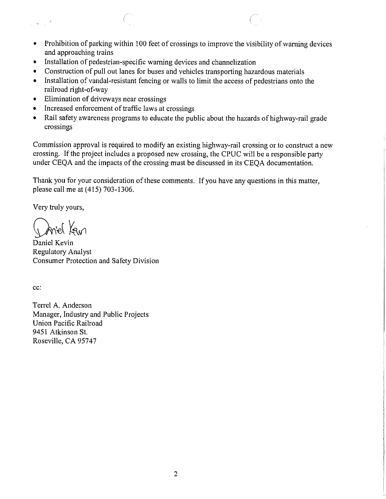# الروائيل

- Prohibition of parking within 100 feet of crossings to improve the visibility of warning devices  $\bullet$ and approaching trains
- Installation of pedestrian-specific warning devices and channelization
- Construction of pull out lanes for buses and vehicles transporting hazardous materials  $\bullet$
- Installation of vandal-resistant fencing or walls to limit the access of pedestrians onto the  $\bullet$ railroad right-of-way
- Elimination of driveways near crossings  $\bullet$
- Increased enforcement of traffic laws at crossings  $\bullet$
- Rail safety awareness programs to educate the public about the hazards of highway-rail grade  $\bullet$ crossings

Commission approval is required to modify an existing highway-rail crossing or to construct a new crossing. If the project includes a proposed new crossing, the CPUC will be a responsible party under CEQA and the impacts of the crossing must be discussed in its CEQA documentation.

Thank you for your consideration of these comments. If you have any questions in this matter, please call me at (415) 703-1306.

Very truly yours,

Daniel Kevin **Regulatory Analyst** Consumer Protection and Safety Division

cc:

Terrel A. Anderson Manager, Industry and Public Projects Union Pacific Railroad 9451 Atkinson St. Roseville, CA 95747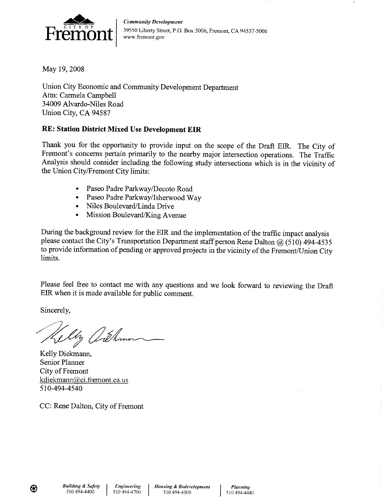

May 19, 2008

Union City Economic and Community Development Department Attn: Carmela Campbell 34009 Alvardo-Niles Road Union City, CA 94587

# RE: Station District Mixed Use Development EIR

Thank you for the opportunity to provide input on the scope of the Draft EIR. The City of Fremont's concerns pertain primarily to the nearby major intersection operations. The Traffic Analysis should consider including the following study intersections which is in the vicinity of the Union City/Fremont City limits:

- Paseo Padre Parkway/Decoto Road  $\bullet$
- Paseo Padre Parkway/Isherwood Way  $\bullet$
- Niles Boulevard/Linda Drive
- Mission Boulevard/King Avenue

During the background review for the EIR and the implementation of the traffic impact analysis please contact the City's Transportation Department staff person Rene Dalton @ (510) 494-4535 to provide information of pending or approved projects in the vicinity of the Fremont/Union City limits.

Please feel free to contact me with any questions and we look forward to reviewing the Draft EIR when it is made available for public comment.

Sincerely,

Uz Orthman

Kelly Diekmann, Senior Planner City of Fremont kdiekmann@ci.fremont.ca.us 510-494-4540

CC: Rene Dalton, City of Fremont